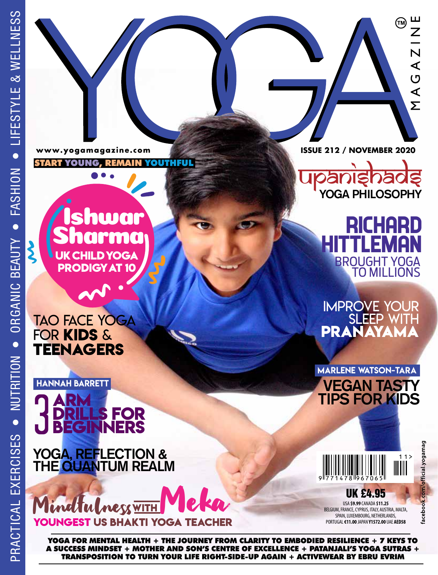$\boldsymbol{\zeta}$ 

www.yogamagazine.com

START YOUNG, REMAIN YOUTHFUL

:hwar rma **UK CHILD YOGA PRODIGY AT 10**

TAO FACE YOGA FOR **KIDS** & **TEENAGERS**

## **DRILLS FOR BEGINNERS** HANNAH BARRETT

YOGA, REFLECTION & THE QUANTUM REALM

**YOUNGEST US BHAKTI YOGA** Mindtulness <u>WIT</u>

YOGA FOR MENTAL HEALTH + THE JOURNEY FROM CLARITY TO EMBODIED RESILIENCE + 7 KEYS TO A SUCCESS MINDSET + MOTHER AND SON'S CENTRE OF EXCELLENCE + PATANJALI'S YOGA SUTRAS + TRANSPOSITION TO TURN YOUR LIFE RIGHT-SIDE-UP AGAIN + ACTIVEWEAR BY EBRU EVRIM

**ISSUE 212 / NOVEMBER 2020**

(TM)

NIZNA

 $\overline{\Sigma}$ 

YOGA PHILOSOPHY

RICHARD **TLEMAN** BROUGHT YOGA TO MILLIONS

IMPROVE YOUR SLEEP WITH **PRANAYAMA**

MARLENE WATSON-TARA VEGAN TASTY **ARM** TIPS FOR KIDS



facebook.com/official.yogamag

USA **\$9.99** CANADA **\$11.25** BELGIUM, FRANCE, CYPRUS, ITALY, AUSTRIA, MALTA, SPAIN, LUXEMBOURG, NETHERLANDS, PORTUGAL **€11.00** JAPAN **Y1572.00** UAE **AED58**

UK £4.95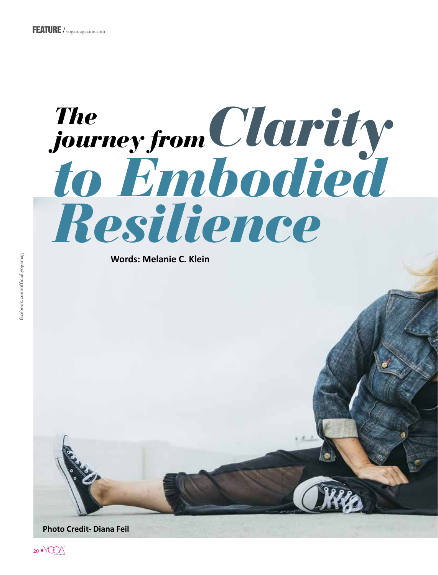## The<br>journey from Clarity<br>to Embodied Resilience

**Words: Melanie C. Klein**



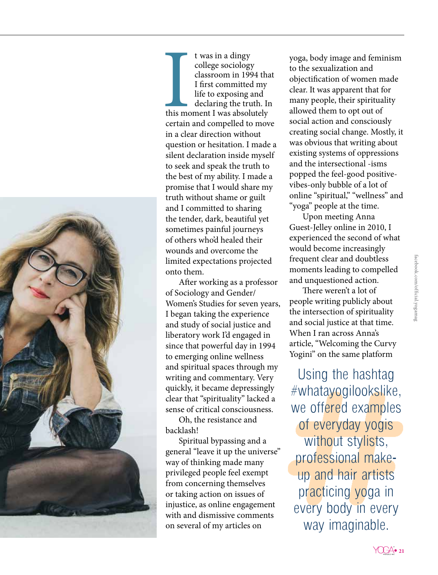

t wa<br>
colle<br>
class<br>
I firs<br>
I firs<br>
life<br>
decl<br>
this moment<br>
certain and of t was in a dingy college sociology classroom in 1994 that I first committed my life to exposing and declaring the truth. In this moment I was absolutely certain and compelled to move in a clear direction without question or hesitation. I made a silent declaration inside myself to seek and speak the truth to the best of my ability. I made a promise that I would share my truth without shame or guilt and I committed to sharing the tender, dark, beautiful yet sometimes painful journeys of others who'd healed their wounds and overcome the limited expectations projected onto them.

After working as a professor of Sociology and Gender/ Women's Studies for seven years, I began taking the experience and study of social justice and liberatory work I'd engaged in since that powerful day in 1994 to emerging online wellness and spiritual spaces through my writing and commentary. Very quickly, it became depressingly clear that "spirituality" lacked a sense of critical consciousness.

Oh, the resistance and backlash!

Spiritual bypassing and a general "leave it up the universe" way of thinking made many privileged people feel exempt from concerning themselves or taking action on issues of injustice, as online engagement with and dismissive comments on several of my articles on

yoga, body image and feminism to the sexualization and objectification of women made clear. It was apparent that for many people, their spirituality allowed them to opt out of social action and consciously creating social change. Mostly, it was obvious that writing about existing systems of oppressions and the intersectional -isms popped the feel-good positivevibes-only bubble of a lot of online "spiritual," "wellness" and "yoga" people at the time.

Upon meeting Anna Guest-Jelley online in 2010, I experienced the second of what would become increasingly frequent clear and doubtless moments leading to compelled and unquestioned action.

There weren't a lot of people writing publicly about the intersection of spirituality and social justice at that time. When I ran across Anna's article, "Welcoming the Curvy Yogini" on the same platform

Using the hashtag #whatayogilookslike, we offered examples of everyday yogis without stylists, professional makeup and hair artists practicing yoga in every body in every way imaginable.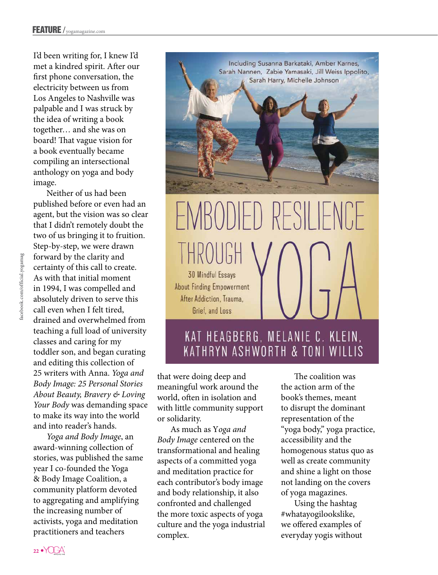I'd been writing for, I knew I'd met a kindred spirit. After our first phone conversation, the electricity between us from Los Angeles to Nashville was palpable and I was struck by the idea of writing a book together… and she was on board! That vague vision for a book eventually became compiling an intersectional anthology on yoga and body image.

Neither of us had been published before or even had an agent, but the vision was so clear that I didn't remotely doubt the two of us bringing it to fruition. Step-by-step, we were drawn forward by the clarity and certainty of this call to create. As with that initial moment in 1994, I was compelled and absolutely driven to serve this call even when I felt tired, drained and overwhelmed from teaching a full load of university classes and caring for my toddler son, and began curating and editing this collection of 25 writers with Anna. *Yoga and Body Image: 25 Personal Stories About Beauty, Bravery & Loving Your Body* was demanding space to make its way into the world and into reader's hands.

*Yoga and Body Image*, an award-winning collection of stories, was published the same year I co-founded the Yoga & Body Image Coalition, a community platform devoted to aggregating and amplifying the increasing number of activists, yoga and meditation practitioners and teachers



## RESILIE  $H$ **30 Mindful Essavs About Finding Empowerment** After Addiction, Trauma. Grief and Loss

## KAT HEAGBERG, MELANIE C. KLEIN, KATHRYN ASHWORTH & TONI WILLIS

that were doing deep and meaningful work around the world, often in isolation and with little community support or solidarity.

As much as Y*oga and Body Image* centered on the transformational and healing aspects of a committed yoga and meditation practice for each contributor's body image and body relationship, it also confronted and challenged the more toxic aspects of yoga culture and the yoga industrial complex.

The coalition was the action arm of the book's themes, meant to disrupt the dominant representation of the "yoga body," yoga practice, accessibility and the homogenous status quo as well as create community and shine a light on those not landing on the covers of yoga magazines.

Using the hashtag #whatayogilookslike, we offered examples of everyday yogis without

acebook.com/official.yogamag facebook.com/official.yogamag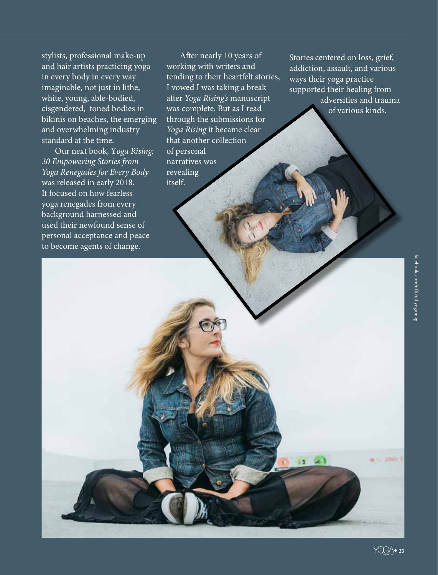stylists, professional make-up and hair artists practicing yoga in every body in every way imaginable, not just in lithe, white, young, able-bodied, cisgendered, toned bodies in bikinis on beaches, the emerging and overwhelming industry standard at the time.

Our next book, Y*oga Rising: 30 Empowering Stories from Yoga Renegades for Every Body* was released in early 2018. It focused on how fearless yoga renegades from every background harnessed and used their newfound sense of personal acceptance and peace to become agents of change.

After nearly 10 years of working with writers and tending to their heartfelt stories, I vowed I was taking a break after *Yoga Rising's* manuscript was complete. But as I read through the submissions for *Yoga Rising* it became clear that another collection of personal narratives was revealing itself.

Stories centered on loss, grief, addiction, assault, and various ways their yoga practice supported their healing from adversities and trauma of various kinds.

**College College College College** 

E3